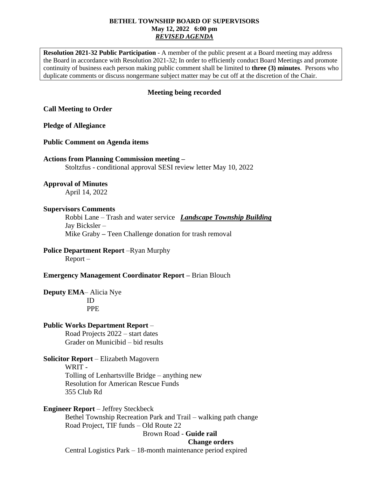#### **BETHEL TOWNSHIP BOARD OF SUPERVISORS May 12, 2022 6:00 pm** *REVISED AGENDA*

**Resolution 2021-32 Public Participation** - A member of the public present at a Board meeting may address the Board in accordance with Resolution 2021-32; In order to efficiently conduct Board Meetings and promote continuity of business each person making public comment shall be limited to **three (3) minutes**. Persons who duplicate comments or discuss nongermane subject matter may be cut off at the discretion of the Chair.

## **Meeting being recorded**

## **Call Meeting to Order**

#### **Pledge of Allegiance**

#### **Public Comment on Agenda items**

## **Actions from Planning Commission meeting –**

Stoltzfus - conditional approval SESI review letter May 10, 2022

#### **Approval of Minutes**

April 14, 2022

#### **Supervisors Comments**

Robbi Lane – Trash and water service *Landscape Township Building* Jay Bicksler – Mike Graby **–** Teen Challenge donation for trash removal

# **Police Department Report** –Ryan Murphy

Report –

## **Emergency Management Coordinator Report –** Brian Blouch

**Deputy EMA**– Alicia Nye ID PPE

## **Public Works Department Report** –

Road Projects 2022 – start dates Grader on Municibid – bid results

**Solicitor Report** – Elizabeth Magovern WRIT - Tolling of Lenhartsville Bridge – anything new Resolution for American Rescue Funds 355 Club Rd

**Engineer Report** – Jeffrey Steckbeck

Bethel Township Recreation Park and Trail – walking path change Road Project, TIF funds – Old Route 22

Brown Road - **Guide rail**

#### **Change orders**

Central Logistics Park – 18-month maintenance period expired